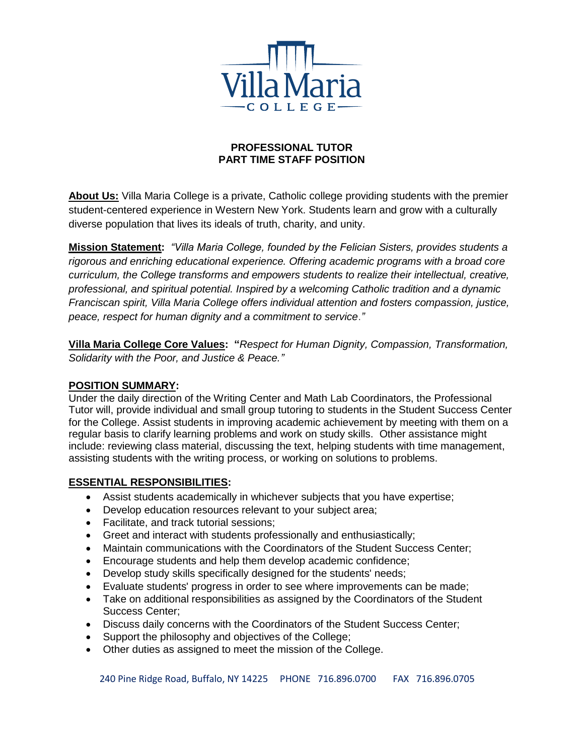

# **PROFESSIONAL TUTOR PART TIME STAFF POSITION**

**About Us:** Villa Maria College is a private, Catholic college providing students with the premier student-centered experience in Western New York. Students learn and grow with a culturally diverse population that lives its ideals of truth, charity, and unity.

**Mission Statement:** *"Villa Maria College, founded by the Felician Sisters, provides students a rigorous and enriching educational experience. Offering academic programs with a broad core curriculum, the College transforms and empowers students to realize their intellectual, creative, professional, and spiritual potential. Inspired by a welcoming Catholic tradition and a dynamic Franciscan spirit, Villa Maria College offers individual attention and fosters compassion, justice, peace, respect for human dignity and a commitment to service*.*"*

**Villa Maria College Core Values: "***Respect for Human Dignity, Compassion, Transformation, Solidarity with the Poor, and Justice & Peace."*

### **POSITION SUMMARY:**

Under the daily direction of the Writing Center and Math Lab Coordinators, the Professional Tutor will, provide individual and small group tutoring to students in the Student Success Center for the College. Assist students in improving academic achievement by meeting with them on a regular basis to clarify learning problems and work on study skills. Other assistance might include: reviewing class material, discussing the text, helping students with time management, assisting students with the writing process, or working on solutions to problems.

# **ESSENTIAL RESPONSIBILITIES:**

- Assist students academically in whichever subjects that you have expertise;
- Develop education resources relevant to your subject area;
- Facilitate, and track tutorial sessions;
- Greet and interact with students professionally and enthusiastically;
- Maintain communications with the Coordinators of the Student Success Center;
- Encourage students and help them develop academic confidence;
- Develop study skills specifically designed for the students' needs;
- Evaluate students' progress in order to see where improvements can be made;
- Take on additional responsibilities as assigned by the Coordinators of the Student Success Center;
- Discuss daily concerns with the Coordinators of the Student Success Center;
- Support the philosophy and objectives of the College;
- Other duties as assigned to meet the mission of the College.